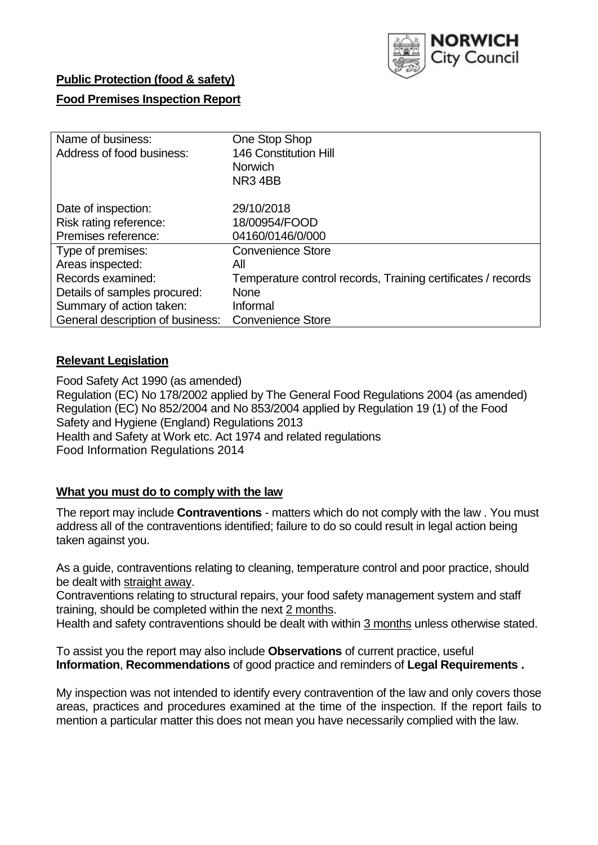

## **Public Protection (food & safety)**

## **Food Premises Inspection Report**

| Name of business:                | One Stop Shop                                                |
|----------------------------------|--------------------------------------------------------------|
| Address of food business:        | 146 Constitution Hill                                        |
|                                  | <b>Norwich</b>                                               |
|                                  | NR34BB                                                       |
| Date of inspection:              | 29/10/2018                                                   |
| Risk rating reference:           | 18/00954/FOOD                                                |
| Premises reference:              | 04160/0146/0/000                                             |
| Type of premises:                | <b>Convenience Store</b>                                     |
| Areas inspected:                 | All                                                          |
| Records examined:                | Temperature control records, Training certificates / records |
| Details of samples procured:     | <b>None</b>                                                  |
| Summary of action taken:         | Informal                                                     |
| General description of business: | <b>Convenience Store</b>                                     |

### **Relevant Legislation**

Food Safety Act 1990 (as amended) Regulation (EC) No 178/2002 applied by The General Food Regulations 2004 (as amended) Regulation (EC) No 852/2004 and No 853/2004 applied by Regulation 19 (1) of the Food Safety and Hygiene (England) Regulations 2013 Health and Safety at Work etc. Act 1974 and related regulations Food Information Regulations 2014

## **What you must do to comply with the law**

The report may include **Contraventions** - matters which do not comply with the law . You must address all of the contraventions identified; failure to do so could result in legal action being taken against you.

As a guide, contraventions relating to cleaning, temperature control and poor practice, should be dealt with straight away.

Contraventions relating to structural repairs, your food safety management system and staff training, should be completed within the next 2 months.

Health and safety contraventions should be dealt with within 3 months unless otherwise stated.

To assist you the report may also include **Observations** of current practice, useful **Information**, **Recommendations** of good practice and reminders of **Legal Requirements .**

My inspection was not intended to identify every contravention of the law and only covers those areas, practices and procedures examined at the time of the inspection. If the report fails to mention a particular matter this does not mean you have necessarily complied with the law.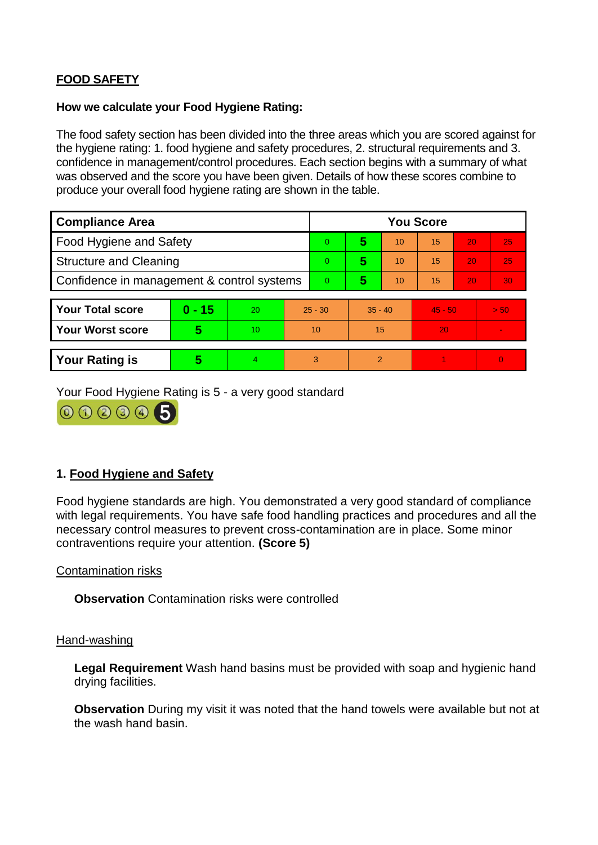# **FOOD SAFETY**

#### **How we calculate your Food Hygiene Rating:**

The food safety section has been divided into the three areas which you are scored against for the hygiene rating: 1. food hygiene and safety procedures, 2. structural requirements and 3. confidence in management/control procedures. Each section begins with a summary of what was observed and the score you have been given. Details of how these scores combine to produce your overall food hygiene rating are shown in the table.

| <b>Compliance Area</b>                     |          |    |                | <b>You Score</b> |                |    |           |    |                |  |  |
|--------------------------------------------|----------|----|----------------|------------------|----------------|----|-----------|----|----------------|--|--|
| Food Hygiene and Safety                    |          |    |                | $\Omega$         | 5              | 10 | 15        | 20 | 25             |  |  |
| <b>Structure and Cleaning</b>              |          |    | $\overline{0}$ | 5                | 10             | 15 | 20        | 25 |                |  |  |
| Confidence in management & control systems |          |    | $\Omega$       | 5                | 10             | 15 | 20        | 30 |                |  |  |
|                                            |          |    |                |                  |                |    |           |    |                |  |  |
| <b>Your Total score</b>                    | $0 - 15$ | 20 | $25 - 30$      |                  | $35 - 40$      |    | $45 - 50$ |    | > 50           |  |  |
| <b>Your Worst score</b>                    | 5        | 10 | 10             |                  | 15             |    | 20        |    | $\blacksquare$ |  |  |
|                                            |          |    |                |                  |                |    |           |    |                |  |  |
| <b>Your Rating is</b>                      | 5        | 4  | 3              |                  | $\overline{2}$ |    |           |    | $\Omega$       |  |  |

Your Food Hygiene Rating is 5 - a very good standard



# **1. Food Hygiene and Safety**

Food hygiene standards are high. You demonstrated a very good standard of compliance with legal requirements. You have safe food handling practices and procedures and all the necessary control measures to prevent cross-contamination are in place. Some minor contraventions require your attention. **(Score 5)**

Contamination risks

**Observation** Contamination risks were controlled

#### Hand-washing

**Legal Requirement** Wash hand basins must be provided with soap and hygienic hand drying facilities.

**Observation** During my visit it was noted that the hand towels were available but not at the wash hand basin.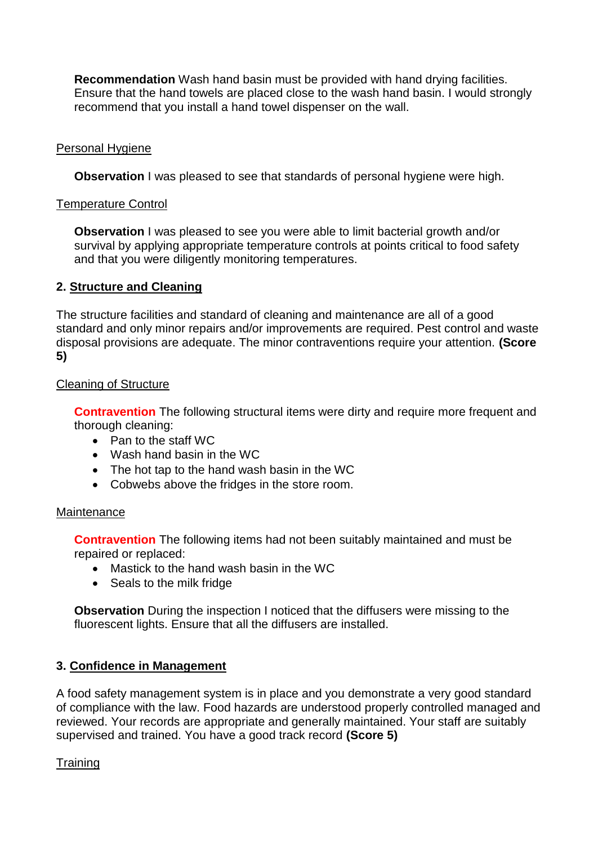**Recommendation** Wash hand basin must be provided with hand drying facilities. Ensure that the hand towels are placed close to the wash hand basin. I would strongly recommend that you install a hand towel dispenser on the wall.

## Personal Hygiene

**Observation** I was pleased to see that standards of personal hygiene were high.

## Temperature Control

**Observation** I was pleased to see you were able to limit bacterial growth and/or survival by applying appropriate temperature controls at points critical to food safety and that you were diligently monitoring temperatures.

# **2. Structure and Cleaning**

The structure facilities and standard of cleaning and maintenance are all of a good standard and only minor repairs and/or improvements are required. Pest control and waste disposal provisions are adequate. The minor contraventions require your attention. **(Score 5)**

# Cleaning of Structure

**Contravention** The following structural items were dirty and require more frequent and thorough cleaning:

- Pan to the staff WC
- Wash hand basin in the WC
- The hot tap to the hand wash basin in the WC
- Cobwebs above the fridges in the store room.

### Maintenance

**Contravention** The following items had not been suitably maintained and must be repaired or replaced:

- Mastick to the hand wash basin in the WC
- Seals to the milk fridge

**Observation** During the inspection I noticed that the diffusers were missing to the fluorescent lights. Ensure that all the diffusers are installed.

# **3. Confidence in Management**

A food safety management system is in place and you demonstrate a very good standard of compliance with the law. Food hazards are understood properly controlled managed and reviewed. Your records are appropriate and generally maintained. Your staff are suitably supervised and trained. You have a good track record **(Score 5)**

### **Training**